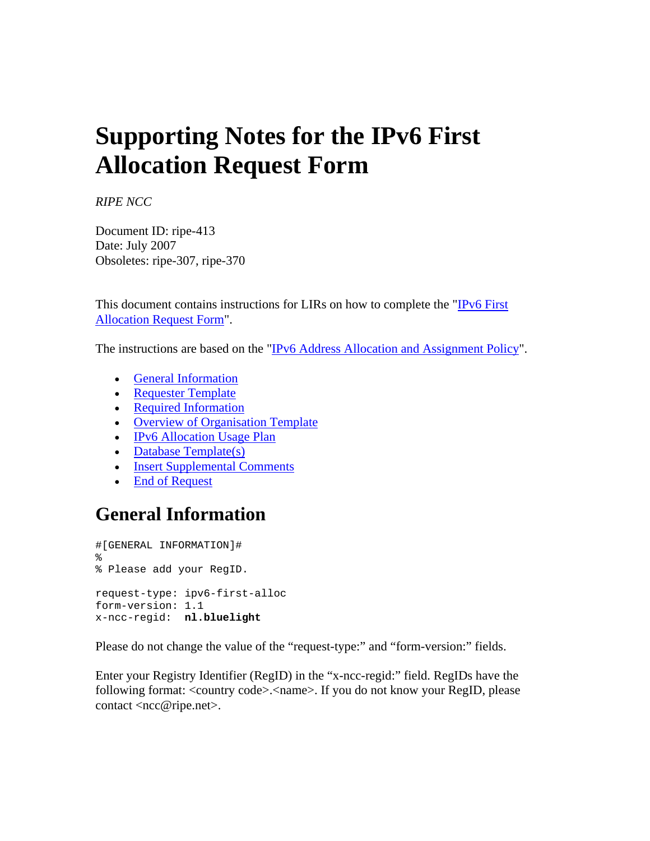# **Supporting Notes for the IPv6 First Allocation Request Form**

*RIPE NCC*

Document ID: ripe-413 Date: July 2007 Obsoletes: ripe-307, ripe-370

This document contains instructions for LIRs on how to complete the ["IPv6 First](http://www.ripe.net/ripe/docs/ipv6-initial.html)  [Allocation Request Form](http://www.ripe.net/ripe/docs/ipv6-initial.html)".

The instructions are based on the ["IPv6 Address Allocation and Assignment Policy](http://www.ripe.net/ripe/docs/ipv6-policy.html)".

- [General Information](http://www.ripe.net/ripe/docs/ipv6-supp-initial.html#general#general)
- [Requester Template](http://www.ripe.net/ripe/docs/ipv6-supp-initial.html#requester#requester)
- [Required Information](http://www.ripe.net/ripe/docs/ipv6-supp-initial.html#required#required)
- Overview of Organisation Template
- IPv6 Allocation Usage Plan
- Database Template(s)
- **[Insert Supplemental Comments](http://www.ripe.net/ripe/docs/ipv6-supp-initial.html#comments#comments)**
- [End of Request](http://www.ripe.net/ripe/docs/ipv6-supp-initial.html#end#end)

## **General Information**

```
#[GENERAL INFORMATION]# 
% 
% Please add your RegID. 
request-type: ipv6-first-alloc 
form-version: 1.1 
x-ncc-regid: nl.bluelight
```
Please do not change the value of the "request-type:" and "form-version:" fields.

Enter your Registry Identifier (RegID) in the "x-ncc-regid:" field. RegIDs have the following format: <country code>.<name>. If you do not know your RegID, please contact <ncc@ripe.net>.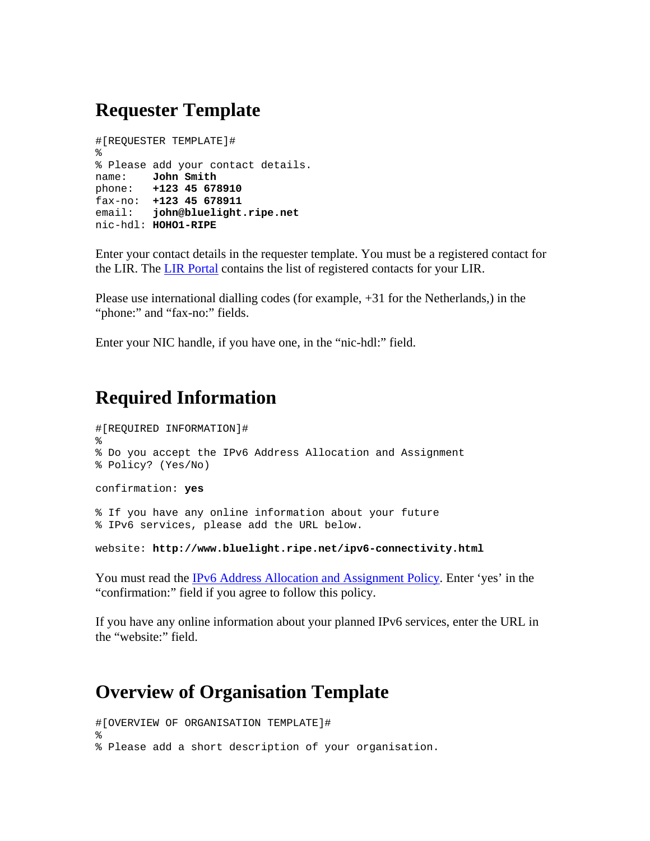## **Requester Template**

```
#[REQUESTER TEMPLATE]# 
% 
% Please add your contact details. 
name: John Smith
phone: +123 45 678910
fax-no: +123 45 678911
email: john@bluelight.ripe.net
nic-hdl: HOHO1-RIPE
```
Enter your contact details in the requester template. You must be a registered contact for the LIR. The [LIR Portal](https://lirportal.ripe.net/) contains the list of registered contacts for your LIR.

Please use international dialling codes (for example, +31 for the Netherlands,) in the "phone:" and "fax-no:" fields.

Enter your NIC handle, if you have one, in the "nic-hdl:" field.

## **Required Information**

```
#[REQUIRED INFORMATION]# 
% 
% Do you accept the IPv6 Address Allocation and Assignment 
% Policy? (Yes/No) 
confirmation: yes 
% If you have any online information about your future 
% IPv6 services, please add the URL below.
```
website: **http://www.bluelight.ripe.net/ipv6-connectivity.html**

You must read the [IPv6 Address Allocation and Assignment Policy](http://www.ripe.net/ripe/docs/ipv6-policy.html). Enter 'yes' in the "confirmation:" field if you agree to follow this policy.

If you have any online information about your planned IPv6 services, enter the URL in the "website:" field.

### **Overview of Organisation Template**

```
#[OVERVIEW OF ORGANISATION TEMPLATE]# 
% 
% Please add a short description of your organisation.
```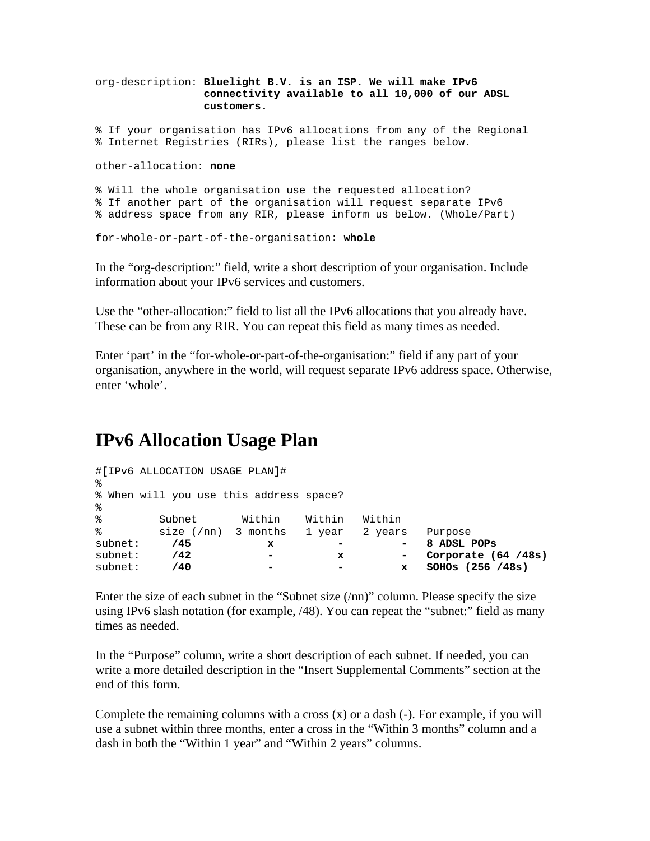```
org-description: Bluelight B.V. is an ISP. We will make IPv6 
                  connectivity available to all 10,000 of our ADSL 
                  customers.
```
% If your organisation has IPv6 allocations from any of the Regional % Internet Registries (RIRs), please list the ranges below.

other-allocation: **none** 

```
% Will the whole organisation use the requested allocation? 
% If another part of the organisation will request separate IPv6 
% address space from any RIR, please inform us below. (Whole/Part)
```

```
for-whole-or-part-of-the-organisation: whole
```
In the "org-description:" field, write a short description of your organisation. Include information about your IPv6 services and customers.

Use the "other-allocation:" field to list all the IPv6 allocations that you already have. These can be from any RIR. You can repeat this field as many times as needed.

Enter 'part' in the "for-whole-or-part-of-the-organisation:" field if any part of your organisation, anywhere in the world, will request separate IPv6 address space. Otherwise, enter 'whole'.

## **IPv6 Allocation Usage Plan**

```
#[IPv6 ALLOCATION USAGE PLAN]# 
% 
% When will you use this address space? 
% 
% Subnet Within Within Within 
% size (/nn) 3 months 1 year 2 years Purpose
subnet: /45 x - - 8 ADSL POPs
subnet: /42 - x - Corporate (64 /48s)
subnet: /40 - - x SOHOs (256 /48s)
```
Enter the size of each subnet in the "Subnet size (/nn)" column. Please specify the size using IPv6 slash notation (for example, /48). You can repeat the "subnet:" field as many times as needed.

In the "Purpose" column, write a short description of each subnet. If needed, you can write a more detailed description in the "Insert Supplemental Comments" section at the end of this form.

Complete the remaining columns with a cross  $(x)$  or a dash  $(-)$ . For example, if you will use a subnet within three months, enter a cross in the "Within 3 months" column and a dash in both the "Within 1 year" and "Within 2 years" columns.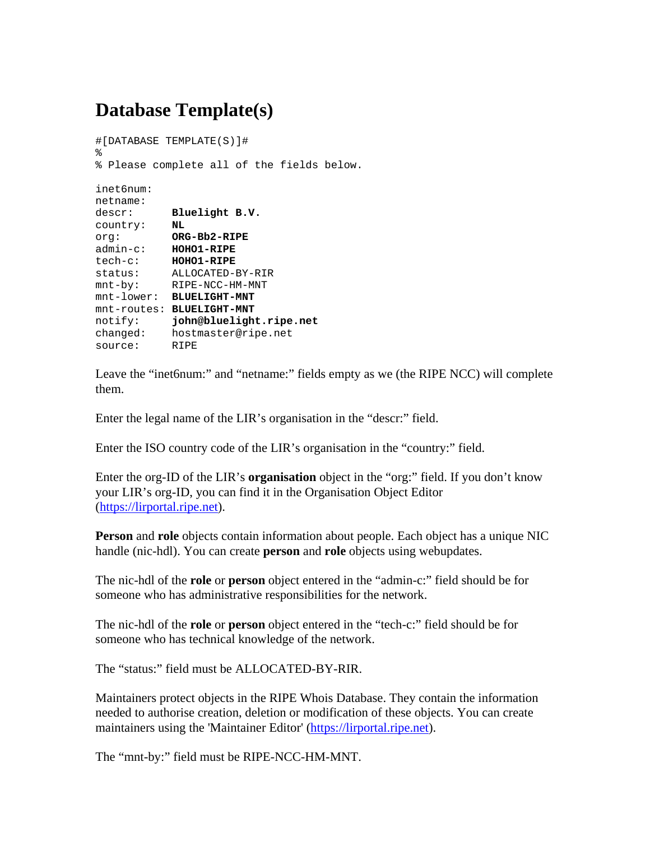## **Database Template(s)**

```
#[DATABASE TEMPLATE(S)]# 
% 
% Please complete all of the fields below. 
inet6num: 
netname: 
descr: Bluelight B.V.
country: NL
org: ORG-Bb2-RIPE
admin-c: HOHO1-RIPE
tech-c: HOHO1-RIPE
status: ALLOCATED-BY-RIR 
mnt-by: RIPE-NCC-HM-MNT 
mnt-lower: BLUELIGHT-MNT
mnt-routes: BLUELIGHT-MNT
notify: john@bluelight.ripe.net
changed: hostmaster@ripe.net 
source: RIPE
```
Leave the "inet6num:" and "netname:" fields empty as we (the RIPE NCC) will complete them.

Enter the legal name of the LIR's organisation in the "descr:" field.

Enter the ISO country code of the LIR's organisation in the "country:" field.

Enter the org-ID of the LIR's **organisation** object in the "org:" field. If you don't know your LIR's org-ID, you can find it in the Organisation Object Editor ([https://lirportal.ripe.net](https://lirportal.ripe.net/)).

**Person** and **role** objects contain information about people. Each object has a unique NIC handle (nic-hdl). You can create **person** and **role** objects using webupdates.

The nic-hdl of the **role** or **person** object entered in the "admin-c:" field should be for someone who has administrative responsibilities for the network.

The nic-hdl of the **role** or **person** object entered in the "tech-c:" field should be for someone who has technical knowledge of the network.

The "status:" field must be ALLOCATED-BY-RIR.

Maintainers protect objects in the RIPE Whois Database. They contain the information needed to authorise creation, deletion or modification of these objects. You can create maintainers using the 'Maintainer Editor' ([https://lirportal.ripe.net\)](https://lirportal.ripe.net/).

The "mnt-by:" field must be RIPE-NCC-HM-MNT.